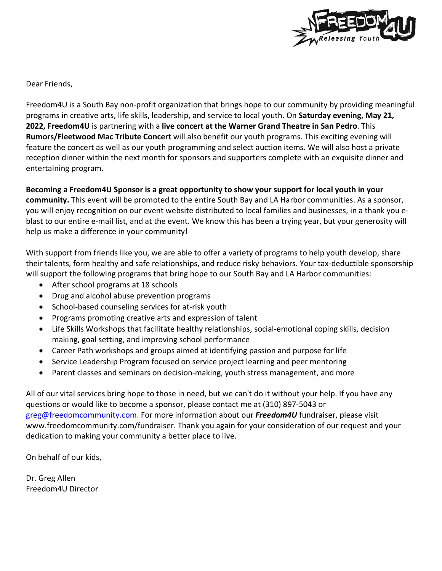

Dear Friends,

Freedom4U is a South Bay non-profit organization that brings hope to our community by providing meaningful programs in creative arts, life skills, leadership, and service to local youth. On **Saturday evening, May 21, 2022, Freedom4U** is partnering with a **live concert at the Warner Grand Theatre in San Pedro**. This **Rumors/Fleetwood Mac Tribute Concert** will also benefit our youth programs. This exciting evening will feature the concert as well as our youth programming and select auction items. We will also host a private reception dinner within the next month for sponsors and supporters complete with an exquisite dinner and entertaining program.

## **Becoming a Freedom4U Sponsor is a great opportunity to show your support for local youth in your**

**community.** This event will be promoted to the entire South Bay and LA Harbor communities. As a sponsor, you will enjoy recognition on our event website distributed to local families and businesses, in a thank you eblast to our entire e-mail list, and at the event. We know this has been a trying year, but your generosity will help us make a difference in your community!

With support from friends like you, we are able to offer a variety of programs to help youth develop, share their talents, form healthy and safe relationships, and reduce risky behaviors. Your tax-deductible sponsorship will support the following programs that bring hope to our South Bay and LA Harbor communities:

- After school programs at 18 schools
- Drug and alcohol abuse prevention programs
- School-based counseling services for at-risk youth
- Programs promoting creative arts and expression of talent
- Life Skills Workshops that facilitate healthy relationships, social-emotional coping skills, decision making, goal setting, and improving school performance
- Career Path workshops and groups aimed at identifying passion and purpose for life
- Service Leadership Program focused on service project learning and peer mentoring
- Parent classes and seminars on decision-making, youth stress management, and more

All of our vital services bring hope to those in need, but we can't do it without your help. If you have any questions or would like to become a sponsor, please contact me at (310) 897-5043 or [greg@freedomcommunity.com.](mailto:greg@freedomcommunity.com) For more information about our *Freedom4U* fundraiser, please visit www.freedomcommunity.com/fundraiser. Thank you again for your consideration of our request and your dedication to making your community a better place to live.

On behalf of our kids,

Dr. Greg Allen Freedom4U Director